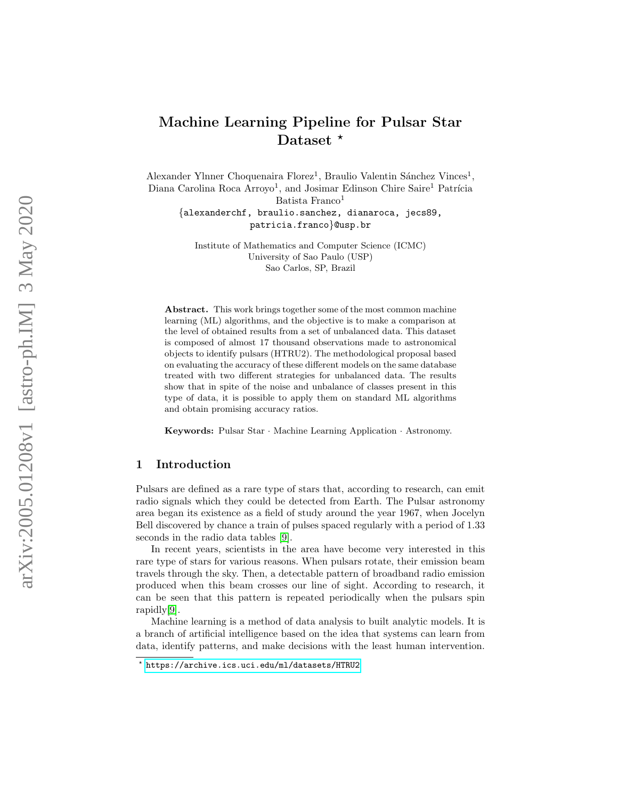# Machine Learning Pipeline for Pulsar Star Dataset \*

Alexander Ylnner Choquenaira Florez<sup>1</sup>, Braulio Valentin Sánchez Vinces<sup>1</sup>, Diana Carolina Roca Arroyo<sup>1</sup>, and Josimar Edinson Chire Saire<sup>1</sup> Patrícia Batista Franco 1

{alexanderchf, braulio.sanchez, dianaroca, jecs89, patricia.franco }@usp.br

Institute of Mathematics and Computer Science (ICMC) University of Sao Paulo (USP) Sao Carlos, SP, Brazil

Abstract. This work brings together some of the most common machine learning (ML) algorithms, and the objective is to make a comparison at the level of obtained results from a set of unbalanced data. This dataset is composed of almost 17 thousand observations made to astronomical objects to identify pulsars (HTRU2). The methodological proposal based on evaluating the accuracy of these different models on the same database treated with two different strategies for unbalanced data. The results show that in spite of the noise and unbalance of classes present in this type of data, it is possible to apply them on standard ML algorithms and obtain promising accuracy ratios.

Keywords: Pulsar Star · Machine Learning Application · Astronomy.

# 1 Introduction

Pulsars are defined as a rare type of stars that, according to research, can emit radio signals which they could be detected from Earth. The Pulsar astronomy area began its existence as a field of study around the year 1967, when Jocelyn Bell discovered by chance a train of pulses spaced regularly with a period of 1.33 seconds in the radio data tables [\[9\]](#page-8-0).

In recent years, scientists in the area have become very interested in this rare type of stars for various reasons. When pulsars rotate, their emission beam travels through the sky. Then, a detectable pattern of broadband radio emission produced when this beam crosses our line of sight. According to research, it can be seen that this pattern is repeated periodically when the pulsars spin rapidly[\[9\]](#page-8-0).

Machine learning is a method of data analysis to built analytic models. It is a branch of artificial intelligence based on the idea that systems can learn from data, identify patterns, and make decisions with the least human intervention.

<sup>?</sup> <https://archive.ics.uci.edu/ml/datasets/HTRU2>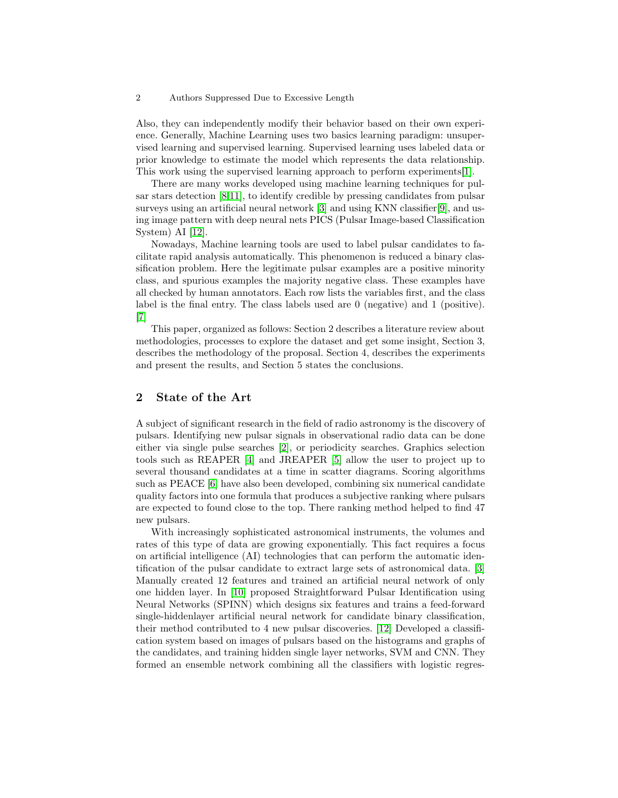#### 2 Authors Suppressed Due to Excessive Length

Also, they can independently modify their behavior based on their own experience. Generally, Machine Learning uses two basics learning paradigm: unsupervised learning and supervised learning. Supervised learning uses labeled data or prior knowledge to estimate the model which represents the data relationship. This work using the supervised learning approach to perform experiments[\[1\]](#page-7-0).

There are many works developed using machine learning techniques for pulsar stars detection  $[8,11]$  $[8,11]$ , to identify credible by pressing candidates from pulsar surveys using an artificial neural network [\[3\]](#page-7-1) and using KNN classifier[\[9\]](#page-8-0), and using image pattern with deep neural nets PICS (Pulsar Image-based Classification System) AI [\[12\]](#page-8-3).

Nowadays, Machine learning tools are used to label pulsar candidates to facilitate rapid analysis automatically. This phenomenon is reduced a binary classification problem. Here the legitimate pulsar examples are a positive minority class, and spurious examples the majority negative class. These examples have all checked by human annotators. Each row lists the variables first, and the class label is the final entry. The class labels used are 0 (negative) and 1 (positive). [\[7\]](#page-8-4)

This paper, organized as follows: Section 2 describes a literature review about methodologies, processes to explore the dataset and get some insight, Section 3, describes the methodology of the proposal. Section 4, describes the experiments and present the results, and Section 5 states the conclusions.

# 2 State of the Art

A subject of significant research in the field of radio astronomy is the discovery of pulsars. Identifying new pulsar signals in observational radio data can be done either via single pulse searches [\[2\]](#page-7-2), or periodicity searches. Graphics selection tools such as REAPER [\[4\]](#page-7-3) and JREAPER [\[5\]](#page-8-5) allow the user to project up to several thousand candidates at a time in scatter diagrams. Scoring algorithms such as PEACE [\[6\]](#page-8-6) have also been developed, combining six numerical candidate quality factors into one formula that produces a subjective ranking where pulsars are expected to found close to the top. There ranking method helped to find 47 new pulsars.

With increasingly sophisticated astronomical instruments, the volumes and rates of this type of data are growing exponentially. This fact requires a focus on artificial intelligence (AI) technologies that can perform the automatic identification of the pulsar candidate to extract large sets of astronomical data. [\[3\]](#page-7-1) Manually created 12 features and trained an artificial neural network of only one hidden layer. In [\[10\]](#page-8-7) proposed Straightforward Pulsar Identification using Neural Networks (SPINN) which designs six features and trains a feed-forward single-hiddenlayer artificial neural network for candidate binary classification, their method contributed to 4 new pulsar discoveries. [\[12\]](#page-8-3) Developed a classification system based on images of pulsars based on the histograms and graphs of the candidates, and training hidden single layer networks, SVM and CNN. They formed an ensemble network combining all the classifiers with logistic regres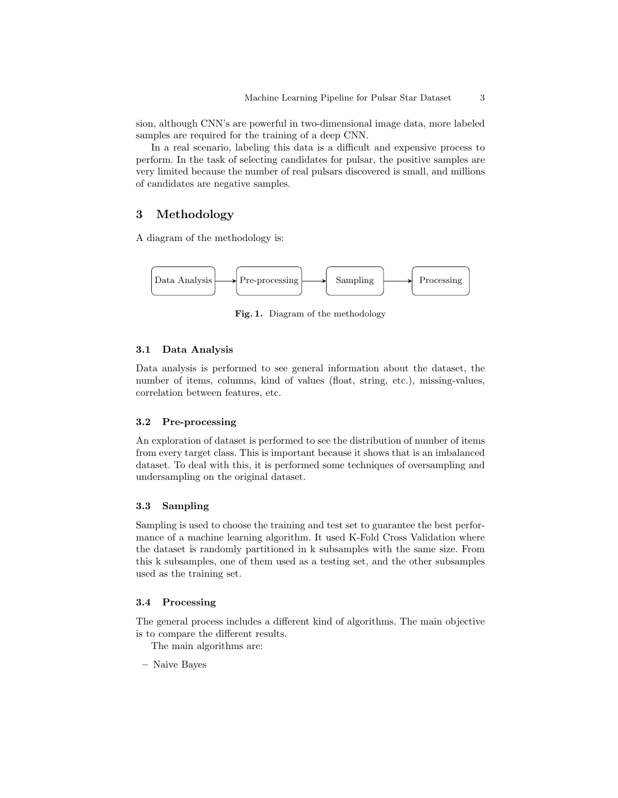sion, although CNN's are powerful in two-dimensional image data, more labeled samples are required for the training of a deep CNN.

In a real scenario, labeling this data is a difficult and expensive process to perform. In the task of selecting candidates for pulsar, the positive samples are very limited because the number of real pulsars discovered is small, and millions of candidates are negative samples.

# 3 Methodology

A diagram of the methodology is:



Fig. 1. Diagram of the methodology

#### 3.1 Data Analysis

Data analysis is performed to see general information about the dataset, the number of items, columns, kind of values (float, string, etc.), missing-values, correlation between features, etc.

### 3.2 Pre-processing

An exploration of dataset is performed to see the distribution of number of items from every target class. This is important because it shows that is an imbalanced dataset. To deal with this, it is performed some techniques of oversampling and undersampling on the original dataset.

### 3.3 Sampling

Sampling is used to choose the training and test set to guarantee the best performance of a machine learning algorithm. It used K-Fold Cross Validation where the dataset is randomly partitioned in k subsamples with the same size. From this k subsamples, one of them used as a testing set, and the other subsamples used as the training set.

### 3.4 Processing

The general process includes a different kind of algorithms. The main objective is to compare the different results.

The main algorithms are:

– Naive Bayes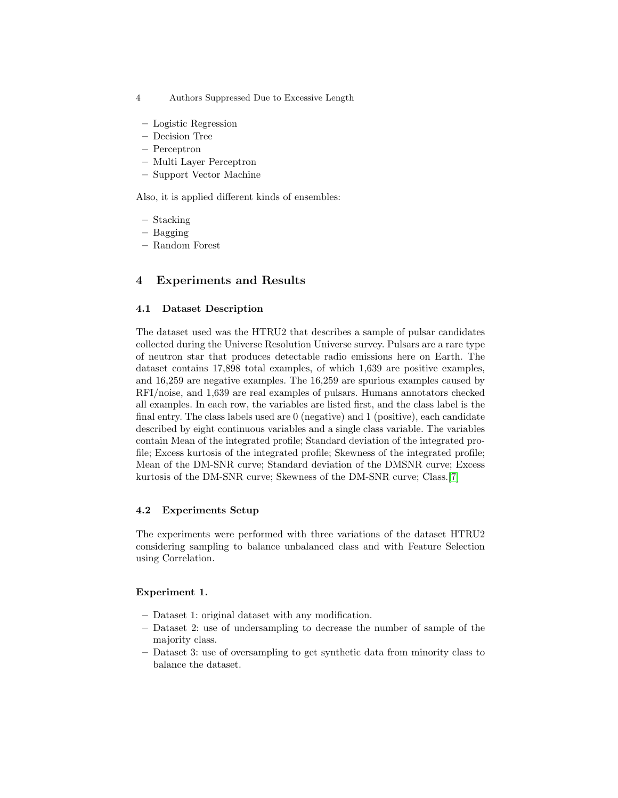- 4 Authors Suppressed Due to Excessive Length
- Logistic Regression
- Decision Tree
- Perceptron
- Multi Layer Perceptron
- Support Vector Machine

Also, it is applied different kinds of ensembles:

- Stacking
- Bagging
- Random Forest

# 4 Experiments and Results

### 4.1 Dataset Description

The dataset used was the HTRU2 that describes a sample of pulsar candidates collected during the Universe Resolution Universe survey. Pulsars are a rare type of neutron star that produces detectable radio emissions here on Earth. The dataset contains 17,898 total examples, of which 1,639 are positive examples, and 16,259 are negative examples. The 16,259 are spurious examples caused by RFI/noise, and 1,639 are real examples of pulsars. Humans annotators checked all examples. In each row, the variables are listed first, and the class label is the final entry. The class labels used are 0 (negative) and 1 (positive), each candidate described by eight continuous variables and a single class variable. The variables contain Mean of the integrated profile; Standard deviation of the integrated profile; Excess kurtosis of the integrated profile; Skewness of the integrated profile; Mean of the DM-SNR curve; Standard deviation of the DMSNR curve; Excess kurtosis of the DM-SNR curve; Skewness of the DM-SNR curve; Class.[\[7\]](#page-8-4)

# 4.2 Experiments Setup

The experiments were performed with three variations of the dataset HTRU2 considering sampling to balance unbalanced class and with Feature Selection using Correlation.

### Experiment 1.

- Dataset 1: original dataset with any modification.
- Dataset 2: use of undersampling to decrease the number of sample of the majority class.
- Dataset 3: use of oversampling to get synthetic data from minority class to balance the dataset.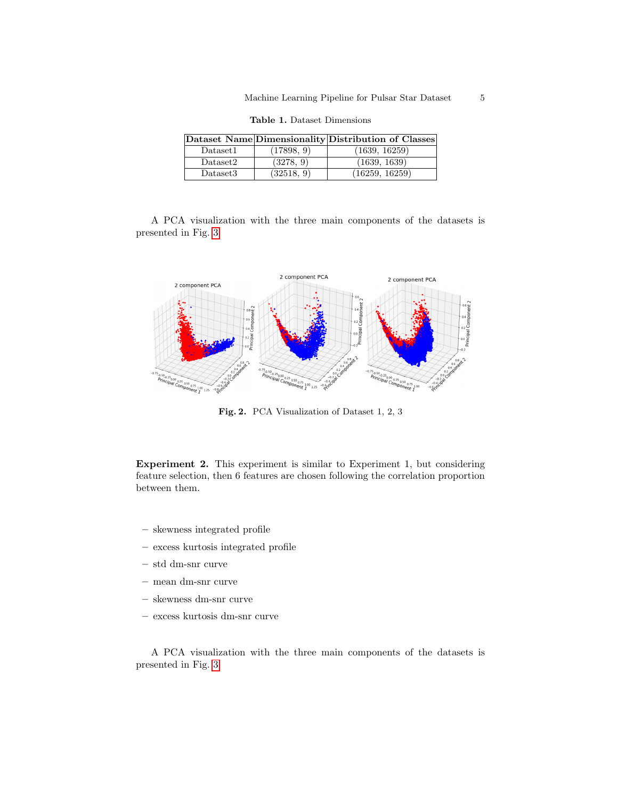|                      |            | Dataset Name Dimensionality Distribution of Classes |
|----------------------|------------|-----------------------------------------------------|
| Dataset1             | (17898, 9) | (1639, 16259)                                       |
| Dataset2             | (3278, 9)  | (1639, 1639)                                        |
| Dataset <sub>3</sub> | (32518, 9) | (16259, 16259)                                      |

Table 1. Dataset Dimensions

A PCA visualization with the three main components of the datasets is presented in Fig. [3](#page-5-0)



Fig. 2. PCA Visualization of Dataset 1, 2, 3

Experiment 2. This experiment is similar to Experiment 1, but considering feature selection, then 6 features are chosen following the correlation proportion between them.

- skewness integrated profile
- excess kurtosis integrated profile
- std dm-snr curve
- mean dm-snr curve
- skewness dm-snr curve
- excess kurtosis dm-snr curve

A PCA visualization with the three main components of the datasets is presented in Fig. [3](#page-5-0)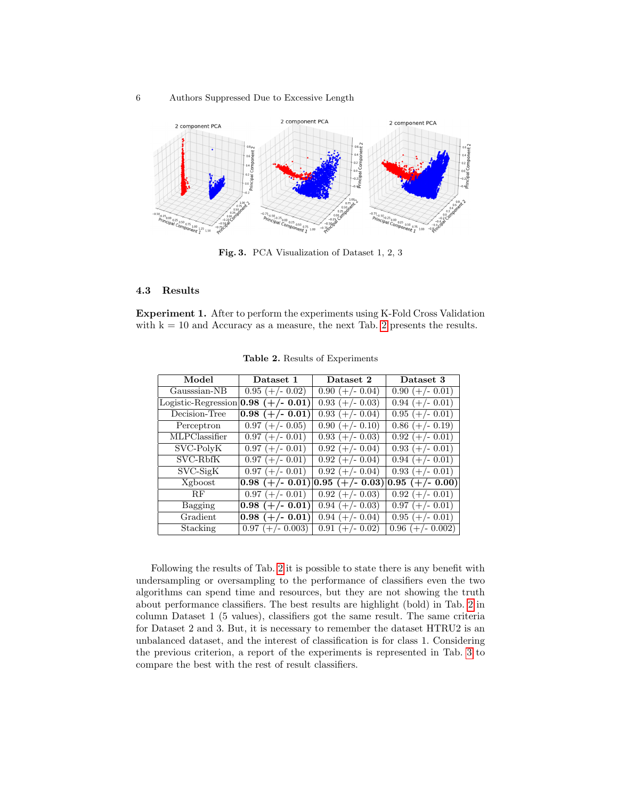#### 6 Authors Suppressed Due to Excessive Length



<span id="page-5-0"></span>Fig. 3. PCA Visualization of Dataset 1, 2, 3

# 4.3 Results

Experiment 1. After to perform the experiments using K-Fold Cross Validation with  $k = 10$  and Accuracy as a measure, the next Tab. [2](#page-5-1) presents the results.

| Model               | Dataset 1          | Dataset 2         | Dataset 3                    |
|---------------------|--------------------|-------------------|------------------------------|
| Gausssian-NB        | $0.95 (+/- 0.02)$  | $0.90 (+/- 0.04)$ | $0.90 (+/- 0.01)$            |
| Logistic-Regression | $0.98 (+/- 0.01)$  | $0.93 (+/- 0.03)$ | $0.94$ (+/- 0.01)            |
| Decision-Tree       | $0.98 (+/- 0.01)$  | $0.93 (+/- 0.04)$ | $0.95 (+/- 0.01)$            |
| Perceptron          | $0.97 (+/- 0.05)$  | $0.90 (+/- 0.10)$ | $0.86 (+/- 0.19)$            |
| MLPClassifier       | $0.97 (+/- 0.01)$  | $0.93$ (+/- 0.03) | $0.92 (+/- 0.01)$            |
| SVC-PolyK           | $0.97 (+/- 0.01)$  | $0.92$ (+/- 0.04) | $0.93 (+/- 0.01)$            |
| SVC-RbfK            | $0.97 (+/- 0.01)$  | $0.92 (+/- 0.04)$ | $0.94 (+/- 0.01)$            |
| $SVC-SigK$          | $0.97 (+/- 0.01)$  | $0.92$ (+/- 0.04) | $0.93 (+/- 0.01)$            |
| Xgboost             | $0.98 (+/- 0.01)$  | $0.95 (+/- 0.03)$ | $\overline{0.95}$ (+/- 0.00) |
| RF                  | $0.97 (+/- 0.01)$  | $0.92$ (+/- 0.03) | $\overline{0.92}$ (+/- 0.01) |
| Bagging             | $0.98 (+/- 0.01)$  | $0.94 (+/- 0.03)$ | $0.97 (+/- 0.01)$            |
| Gradient            | $0.98 (+/- 0.01)$  | $0.94 (+/- 0.04)$ | $0.95 (+/- 0.01)$            |
| Stacking            | $0.97 (+/- 0.003)$ | $0.91$ (+/- 0.02) | $0.96 (+/- 0.002)$           |

<span id="page-5-1"></span>Table 2. Results of Experiments

Following the results of Tab. [2](#page-5-1) it is possible to state there is any benefit with undersampling or oversampling to the performance of classifiers even the two algorithms can spend time and resources, but they are not showing the truth about performance classifiers. The best results are highlight (bold) in Tab. [2](#page-5-1) in column Dataset 1 (5 values), classifiers got the same result. The same criteria for Dataset 2 and 3. But, it is necessary to remember the dataset HTRU2 is an unbalanced dataset, and the interest of classification is for class 1. Considering the previous criterion, a report of the experiments is represented in Tab. [3](#page-6-0) to compare the best with the rest of result classifiers.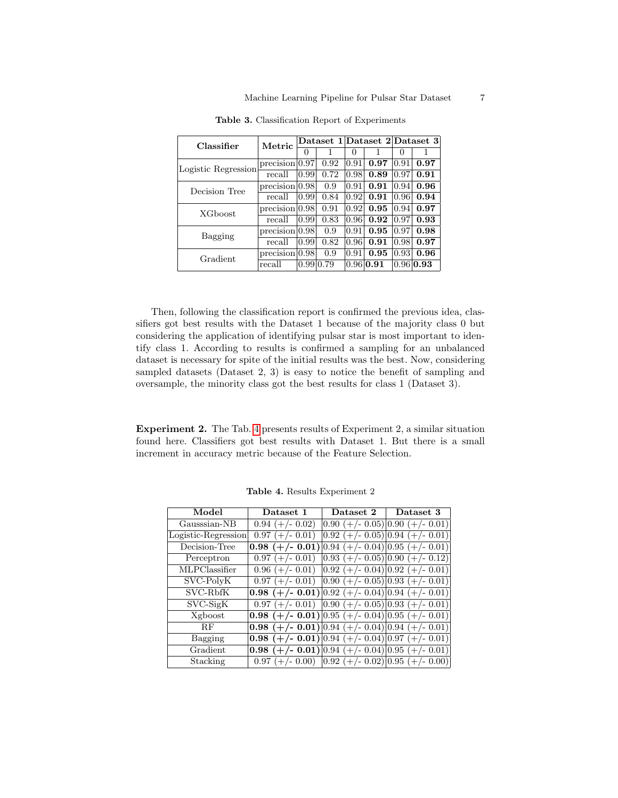| Classifier          | Metric                       |           |      |       |                 | Dataset 1 Dataset 2 Dataset 3 |                      |
|---------------------|------------------------------|-----------|------|-------|-----------------|-------------------------------|----------------------|
|                     |                              | $\cup$    |      |       |                 |                               |                      |
| Logistic Regression | $precision \vert 0.97 \vert$ |           | 0.92 | 10.91 | 0.97            | 0.91                          | 0.97                 |
|                     | recall                       | 0.99      | 0.72 | 0.98  | 0.89            | 0.97                          | 0.91                 |
| Decision Tree       | $precision \,  0.98$         |           | 0.9  | 10.91 | 0.91            | $\vert 0.94 \vert$            | 0.96                 |
|                     | recall                       | 0.99      | 0.84 | 10.92 | 0.91            | 10.961                        | 0.94                 |
| XGboost             | $precision \,  0.98$         |           | 0.91 | 10.92 | 0.95            | $\vert 0.94 \vert$            | 0.97                 |
|                     | recall                       | 0.99      | 0.83 | 0.96  | 0.92            | 10.97                         | 0.93                 |
| Bagging             | $precision \mid 0.98$        |           | 0.9  | 10.91 | 0.95            | 10.97                         | 0.98                 |
|                     | recall                       | 0.99      | 0.82 | 0.96  | 0.91            | 10.981                        | 0.97                 |
| Gradient            | precision 0.98               |           | 0.9  | 0.91  | 0.95            | $\vert 0.93 \vert$            | 0.96                 |
|                     | recall                       | 0.99 0.79 |      |       | $0.96$   $0.91$ |                               | $ 0.96 $ <b>0.93</b> |

<span id="page-6-0"></span>Table 3. Classification Report of Experiments

Then, following the classification report is confirmed the previous idea, classifiers got best results with the Dataset 1 because of the majority class 0 but considering the application of identifying pulsar star is most important to identify class 1. According to results is confirmed a sampling for an unbalanced dataset is necessary for spite of the initial results was the best. Now, considering sampled datasets (Dataset 2, 3) is easy to notice the benefit of sampling and oversample, the minority class got the best results for class 1 (Dataset 3).

Experiment 2. The Tab. [4](#page-6-1) presents results of Experiment 2, a similar situation found here. Classifiers got best results with Dataset 1. But there is a small increment in accuracy metric because of the Feature Selection.

| Model               | Dataset 1                                                                                                                  | Dataset 2                           | Dataset 3                          |
|---------------------|----------------------------------------------------------------------------------------------------------------------------|-------------------------------------|------------------------------------|
| Gausssian-NB        | $0.94 (+/- 0.02)$                                                                                                          | $ 0.90 (+/- 0.05) 0.90 (+/- 0.01)$  |                                    |
| Logistic-Regression | $0.97 (+/- 0.01)$                                                                                                          | $0.92 (+/- 0.05)   0.94 (+/- 0.01)$ |                                    |
| Decision-Tree       | $0.98 (+/- 0.01)$                                                                                                          | $ 0.94 (+/- 0.04) 0.95 (+/- 0.01)$  |                                    |
| Perceptron          | $0.97 (+/- 0.01)$                                                                                                          | $ 0.93 (+/- 0.05) 0.90 (+/- 0.12)$  |                                    |
| MLPClassifier       | $0.96 (+/- 0.01)$                                                                                                          |                                     | $[0.92 (+/- 0.04)]0.92 (+/- 0.01)$ |
| SVC-PolyK           | $0.97 (+/- 0.01)$                                                                                                          | $ 0.90 (+/- 0.05) 0.93 (+/- 0.01)$  |                                    |
| SVC-RbfK            | <b>0.98</b> (+/- <b>0.01</b> ) $\vert 0.92 \, (+/- 0.04) \vert 0.94 \, (+/- 0.01) \vert 0.04 \, (-/- 0.01)$                |                                     |                                    |
| $SVC-SigK$          | $0.97 (+/- 0.01)$ $ 0.90 (+/- 0.05) 0.93 (+/- 0.01)$                                                                       |                                     |                                    |
| Xgboost             | <b>0.98</b> (+/- <b>0.01</b> ) $\vert 0.95 \vert (+/- 0.04) \vert 0.95 \vert (+/- 0.01)$                                   |                                     |                                    |
| RF                  | <b>0.98</b> (+/- <b>0.01</b> ) $\vert 0.94 \vert (+/- 0.04) \vert 0.94 \vert (+/- 0.01) \vert 0.04$                        |                                     |                                    |
| Bagging             | <b>0.98</b> (+/- <b>0.01</b> ) $\vert 0.94 \vert (+/- 0.04) \vert 0.97 \vert (+/- 0.01)$                                   |                                     |                                    |
| Gradient            | <b>0.98</b> (+/- $\overline{0.01}$ ) $\overline{0.94}$ (+/- $\overline{0.04}$ ) $\overline{0.95}$ (+/- $\overline{0.01}$ ) |                                     |                                    |
| Stacking            | $0.97 (+/- 0.00)$ $ 0.92 (+/- 0.02) 0.95 (+/- 0.00) $                                                                      |                                     |                                    |

<span id="page-6-1"></span>Table 4. Results Experiment 2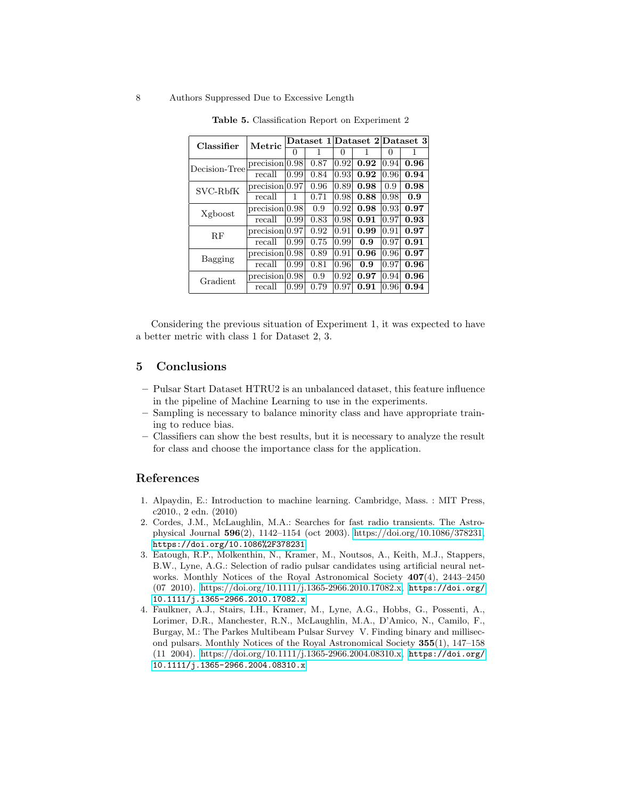#### 8 Authors Suppressed Due to Excessive Length

| Classifier    | Metric         | Dataset 1 Dataset 2 Dataset 3 |      |      |      |          |      |  |
|---------------|----------------|-------------------------------|------|------|------|----------|------|--|
|               |                | $\theta$                      | 1    | 0    |      | $\theta$ | 1    |  |
| Decision-Tree | precision 0.98 |                               | 0.87 | 0.92 | 0.92 | 0.94     | 0.96 |  |
|               | recall         | 0.99                          | 0.84 | 0.93 | 0.92 | 0.96     | 0.94 |  |
| SVC-RbfK      | precision 0.97 |                               | 0.96 | 0.89 | 0.98 | 0.9      | 0.98 |  |
|               | recall         | 1                             | 0.71 | 0.98 | 0.88 | 0.98     | 0.9  |  |
| Xgboost       | precision 0.98 |                               | 0.9  | 0.92 | 0.98 | 0.93     | 0.97 |  |
|               | recall         | 0.99                          | 0.83 | 0.98 | 0.91 | 0.97     | 0.93 |  |
| RF            | precision 0.97 |                               | 0.92 | 0.91 | 0.99 | 0.91     | 0.97 |  |
|               | recall         | 0.99                          | 0.75 | 0.99 | 0.9  | 0.97     | 0.91 |  |
| Bagging       | precision 0.98 |                               | 0.89 | 0.91 | 0.96 | 0.96     | 0.97 |  |
|               | recall         | 0.99                          | 0.81 | 0.96 | 0.9  | 0.97     | 0.96 |  |
| Gradient      | precision 0.98 |                               | 0.9  | 0.92 | 0.97 | 0.94     | 0.96 |  |
|               | recall         | 0.99                          | 0.79 | 0.97 | 0.91 | 0.96     | 0.94 |  |

Table 5. Classification Report on Experiment 2

Considering the previous situation of Experiment 1, it was expected to have a better metric with class 1 for Dataset 2, 3.

# 5 Conclusions

- Pulsar Start Dataset HTRU2 is an unbalanced dataset, this feature influence in the pipeline of Machine Learning to use in the experiments.
- Sampling is necessary to balance minority class and have appropriate training to reduce bias.
- Classifiers can show the best results, but it is necessary to analyze the result for class and choose the importance class for the application.

### References

- <span id="page-7-0"></span>1. Alpaydin, E.: Introduction to machine learning. Cambridge, Mass. : MIT Press, c2010., 2 edn. (2010)
- <span id="page-7-2"></span>2. Cordes, J.M., McLaughlin, M.A.: Searches for fast radio transients. The Astrophysical Journal 596(2), 1142–1154 (oct 2003). [https://doi.org/10.1086/378231,](https://doi.org/10.1086/378231) <https://doi.org/10.1086%2F378231>
- <span id="page-7-1"></span>3. Eatough, R.P., Molkenthin, N., Kramer, M., Noutsos, A., Keith, M.J., Stappers, B.W., Lyne, A.G.: Selection of radio pulsar candidates using artificial neural networks. Monthly Notices of the Royal Astronomical Society  $407(4)$ , 2443–2450 (07 2010). [https://doi.org/10.1111/j.1365-2966.2010.17082.x,](https://doi.org/10.1111/j.1365-2966.2010.17082.x) [https://doi.org/](https://doi.org/10.1111/j.1365-2966.2010.17082.x) [10.1111/j.1365-2966.2010.17082.x](https://doi.org/10.1111/j.1365-2966.2010.17082.x)
- <span id="page-7-3"></span>4. Faulkner, A.J., Stairs, I.H., Kramer, M., Lyne, A.G., Hobbs, G., Possenti, A., Lorimer, D.R., Manchester, R.N., McLaughlin, M.A., D'Amico, N., Camilo, F., Burgay, M.: The Parkes Multibeam Pulsar Survey V. Finding binary and millisecond pulsars. Monthly Notices of the Royal Astronomical Society 355(1), 147–158 (11 2004). [https://doi.org/10.1111/j.1365-2966.2004.08310.x,](https://doi.org/10.1111/j.1365-2966.2004.08310.x) [https://doi.org/](https://doi.org/10.1111/j.1365-2966.2004.08310.x) [10.1111/j.1365-2966.2004.08310.x](https://doi.org/10.1111/j.1365-2966.2004.08310.x)